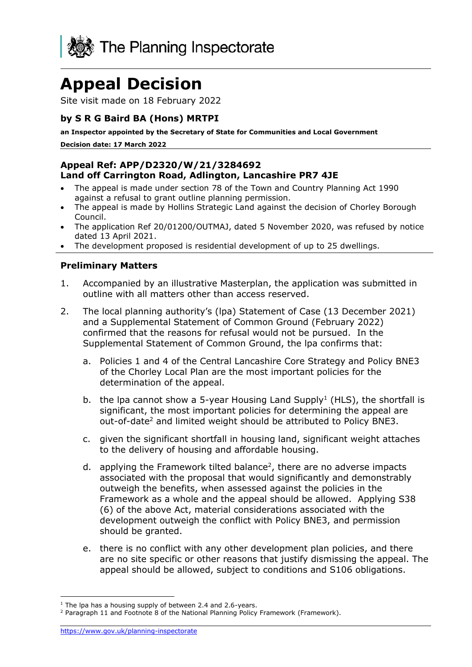

# **Appeal Decision**

Site visit made on 18 February 2022

## **by S R G Baird BA (Hons) MRTPI**

**an Inspector appointed by the Secretary of State for Communities and Local Government**

**Decision date: 17 March 2022**

#### **Appeal Ref: APP/D2320/W/21/3284692 Land off Carrington Road, Adlington, Lancashire PR7 4JE**

- The appeal is made under section 78 of the Town and Country Planning Act 1990 against a refusal to grant outline planning permission.
- The appeal is made by Hollins Strategic Land against the decision of Chorley Borough Council.
- The application Ref 20/01200/OUTMAJ, dated 5 November 2020, was refused by notice dated 13 April 2021.
- The development proposed is residential development of up to 25 dwellings.

#### **Preliminary Matters**

- 1. Accompanied by an illustrative Masterplan, the application was submitted in outline with all matters other than access reserved.
- 2. The local planning authority's (lpa) Statement of Case (13 December 2021) and a Supplemental Statement of Common Ground (February 2022) confirmed that the reasons for refusal would not be pursued. In the Supplemental Statement of Common Ground, the lpa confirms that:
	- a. Policies 1 and 4 of the Central Lancashire Core Strategy and Policy BNE3 of the Chorley Local Plan are the most important policies for the determination of the appeal.
	- b. the lpa cannot show a 5-year Housing Land Supply<sup>1</sup> (HLS), the shortfall is significant, the most important policies for determining the appeal are out-of-date<sup>2</sup> and limited weight should be attributed to Policy BNE3.
	- c. given the significant shortfall in housing land, significant weight attaches to the delivery of housing and affordable housing.
	- d. applying the Framework tilted balance<sup>2</sup>, there are no adverse impacts associated with the proposal that would significantly and demonstrably outweigh the benefits, when assessed against the policies in the Framework as a whole and the appeal should be allowed. Applying S38 (6) of the above Act, material considerations associated with the development outweigh the conflict with Policy BNE3, and permission should be granted.
	- e. there is no conflict with any other development plan policies, and there are no site specific or other reasons that justify dismissing the appeal. The appeal should be allowed, subject to conditions and S106 obligations.

 $1$  The lpa has a housing supply of between 2.4 and 2.6-years.

<sup>2</sup> Paragraph 11 and Footnote 8 of the National Planning Policy Framework (Framework).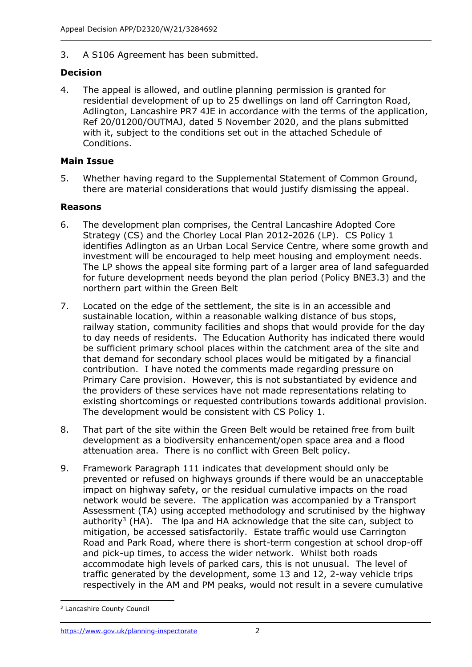3. A S106 Agreement has been submitted.

### **Decision**

4. The appeal is allowed, and outline planning permission is granted for residential development of up to 25 dwellings on land off Carrington Road, Adlington, Lancashire PR7 4JE in accordance with the terms of the application, Ref 20/01200/OUTMAJ, dated 5 November 2020, and the plans submitted with it, subject to the conditions set out in the attached Schedule of Conditions.

#### **Main Issue**

5. Whether having regard to the Supplemental Statement of Common Ground, there are material considerations that would justify dismissing the appeal.

#### **Reasons**

- 6. The development plan comprises, the Central Lancashire Adopted Core Strategy (CS) and the Chorley Local Plan 2012-2026 (LP). CS Policy 1 identifies Adlington as an Urban Local Service Centre, where some growth and investment will be encouraged to help meet housing and employment needs. The LP shows the appeal site forming part of a larger area of land safeguarded for future development needs beyond the plan period (Policy BNE3.3) and the northern part within the Green Belt
- 7. Located on the edge of the settlement, the site is in an accessible and sustainable location, within a reasonable walking distance of bus stops, railway station, community facilities and shops that would provide for the day to day needs of residents. The Education Authority has indicated there would be sufficient primary school places within the catchment area of the site and that demand for secondary school places would be mitigated by a financial contribution. I have noted the comments made regarding pressure on Primary Care provision. However, this is not substantiated by evidence and the providers of these services have not made representations relating to existing shortcomings or requested contributions towards additional provision. The development would be consistent with CS Policy 1.
- 8. That part of the site within the Green Belt would be retained free from built development as a biodiversity enhancement/open space area and a flood attenuation area. There is no conflict with Green Belt policy.
- 9. Framework Paragraph 111 indicates that development should only be prevented or refused on highways grounds if there would be an unacceptable impact on highway safety, or the residual cumulative impacts on the road network would be severe. The application was accompanied by a Transport Assessment (TA) using accepted methodology and scrutinised by the highway authority<sup>3</sup> (HA). The lpa and HA acknowledge that the site can, subject to mitigation, be accessed satisfactorily. Estate traffic would use Carrington Road and Park Road, where there is short-term congestion at school drop-off and pick-up times, to access the wider network. Whilst both roads accommodate high levels of parked cars, this is not unusual. The level of traffic generated by the development, some 13 and 12, 2-way vehicle trips respectively in the AM and PM peaks, would not result in a severe cumulative

<sup>3</sup> Lancashire County Council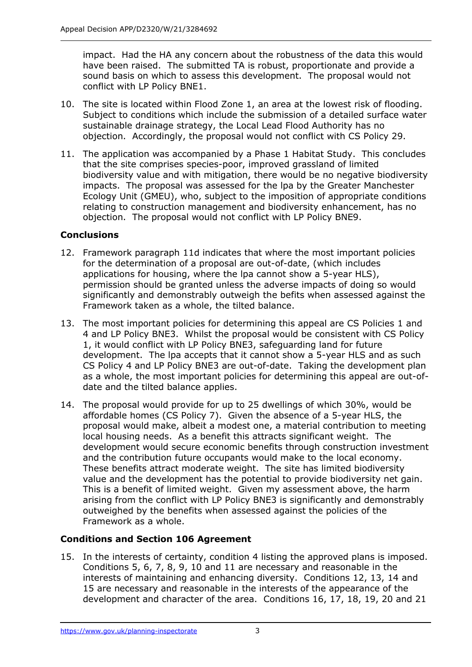impact. Had the HA any concern about the robustness of the data this would have been raised. The submitted TA is robust, proportionate and provide a sound basis on which to assess this development. The proposal would not conflict with LP Policy BNE1.

- 10. The site is located within Flood Zone 1, an area at the lowest risk of flooding. Subject to conditions which include the submission of a detailed surface water sustainable drainage strategy, the Local Lead Flood Authority has no objection. Accordingly, the proposal would not conflict with CS Policy 29.
- 11. The application was accompanied by a Phase 1 Habitat Study. This concludes that the site comprises species-poor, improved grassland of limited biodiversity value and with mitigation, there would be no negative biodiversity impacts. The proposal was assessed for the lpa by the Greater Manchester Ecology Unit (GMEU), who, subject to the imposition of appropriate conditions relating to construction management and biodiversity enhancement, has no objection. The proposal would not conflict with LP Policy BNE9.

# **Conclusions**

- 12. Framework paragraph 11d indicates that where the most important policies for the determination of a proposal are out-of-date, (which includes applications for housing, where the lpa cannot show a 5-year HLS), permission should be granted unless the adverse impacts of doing so would significantly and demonstrably outweigh the befits when assessed against the Framework taken as a whole, the tilted balance.
- 13. The most important policies for determining this appeal are CS Policies 1 and 4 and LP Policy BNE3. Whilst the proposal would be consistent with CS Policy 1, it would conflict with LP Policy BNE3, safeguarding land for future development. The lpa accepts that it cannot show a 5-year HLS and as such CS Policy 4 and LP Policy BNE3 are out-of-date. Taking the development plan as a whole, the most important policies for determining this appeal are out-ofdate and the tilted balance applies.
- 14. The proposal would provide for up to 25 dwellings of which 30%, would be affordable homes (CS Policy 7). Given the absence of a 5-year HLS, the proposal would make, albeit a modest one, a material contribution to meeting local housing needs. As a benefit this attracts significant weight. The development would secure economic benefits through construction investment and the contribution future occupants would make to the local economy. These benefits attract moderate weight. The site has limited biodiversity value and the development has the potential to provide biodiversity net gain. This is a benefit of limited weight. Given my assessment above, the harm arising from the conflict with LP Policy BNE3 is significantly and demonstrably outweighed by the benefits when assessed against the policies of the Framework as a whole.

# **Conditions and Section 106 Agreement**

15. In the interests of certainty, condition 4 listing the approved plans is imposed. Conditions 5, 6, 7, 8, 9, 10 and 11 are necessary and reasonable in the interests of maintaining and enhancing diversity. Conditions 12, 13, 14 and 15 are necessary and reasonable in the interests of the appearance of the development and character of the area. Conditions 16, 17, 18, 19, 20 and 21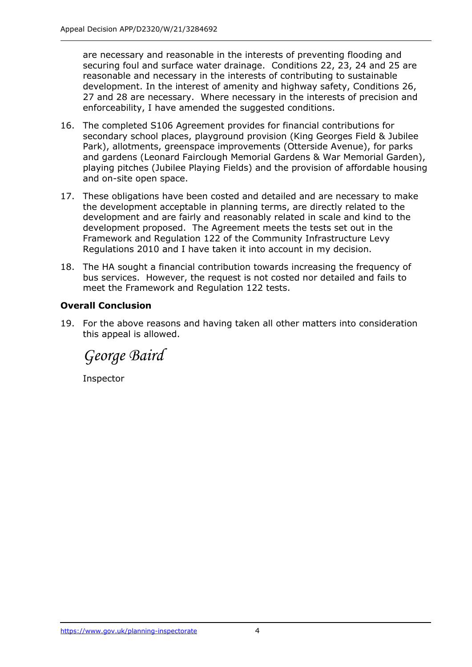are necessary and reasonable in the interests of preventing flooding and securing foul and surface water drainage. Conditions 22, 23, 24 and 25 are reasonable and necessary in the interests of contributing to sustainable development. In the interest of amenity and highway safety, Conditions 26, 27 and 28 are necessary. Where necessary in the interests of precision and enforceability, I have amended the suggested conditions.

- 16. The completed S106 Agreement provides for financial contributions for secondary school places, playground provision (King Georges Field & Jubilee Park), allotments, greenspace improvements (Otterside Avenue), for parks and gardens (Leonard Fairclough Memorial Gardens & War Memorial Garden), playing pitches (Jubilee Playing Fields) and the provision of affordable housing and on-site open space.
- 17. These obligations have been costed and detailed and are necessary to make the development acceptable in planning terms, are directly related to the development and are fairly and reasonably related in scale and kind to the development proposed. The Agreement meets the tests set out in the Framework and Regulation 122 of the Community Infrastructure Levy Regulations 2010 and I have taken it into account in my decision.
- 18. The HA sought a financial contribution towards increasing the frequency of bus services. However, the request is not costed nor detailed and fails to meet the Framework and Regulation 122 tests.

#### **Overall Conclusion**

19. For the above reasons and having taken all other matters into consideration this appeal is allowed.

*George Baird*

Inspector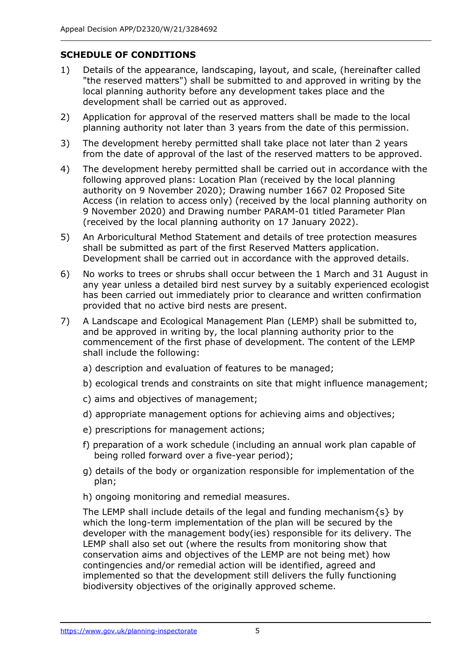# **SCHEDULE OF CONDITIONS**

- 1) Details of the appearance, landscaping, layout, and scale, (hereinafter called "the reserved matters") shall be submitted to and approved in writing by the local planning authority before any development takes place and the development shall be carried out as approved.
- 2) Application for approval of the reserved matters shall be made to the local planning authority not later than 3 years from the date of this permission.
- 3) The development hereby permitted shall take place not later than 2 years from the date of approval of the last of the reserved matters to be approved.
- 4) The development hereby permitted shall be carried out in accordance with the following approved plans: Location Plan (received by the local planning authority on 9 November 2020); Drawing number 1667 02 Proposed Site Access (in relation to access only) (received by the local planning authority on 9 November 2020) and Drawing number PARAM-01 titled Parameter Plan (received by the local planning authority on 17 January 2022).
- 5) An Arboricultural Method Statement and details of tree protection measures shall be submitted as part of the first Reserved Matters application. Development shall be carried out in accordance with the approved details.
- 6) No works to trees or shrubs shall occur between the 1 March and 31 August in any year unless a detailed bird nest survey by a suitably experienced ecologist has been carried out immediately prior to clearance and written confirmation provided that no active bird nests are present.
- 7) A Landscape and Ecological Management Plan (LEMP) shall be submitted to, and be approved in writing by, the local planning authority prior to the commencement of the first phase of development. The content of the LEMP shall include the following:
	- a) description and evaluation of features to be managed;
	- b) ecological trends and constraints on site that might influence management;
	- c) aims and objectives of management;
	- d) appropriate management options for achieving aims and objectives;
	- e) prescriptions for management actions;
	- f) preparation of a work schedule (including an annual work plan capable of being rolled forward over a five-year period);
	- g) details of the body or organization responsible for implementation of the plan;
	- h) ongoing monitoring and remedial measures.

The LEMP shall include details of the legal and funding mechanism $\{s\}$  by which the long-term implementation of the plan will be secured by the developer with the management body(ies) responsible for its delivery. The LEMP shall also set out (where the results from monitoring show that conservation aims and objectives of the LEMP are not being met) how contingencies and/or remedial action will be identified, agreed and implemented so that the development still delivers the fully functioning biodiversity objectives of the originally approved scheme.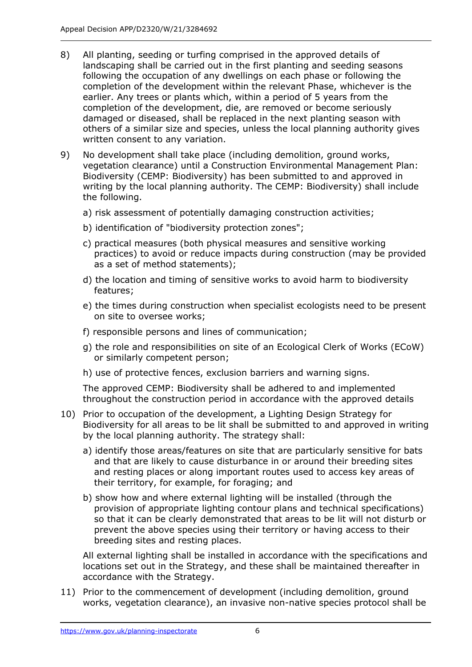- 8) All planting, seeding or turfing comprised in the approved details of landscaping shall be carried out in the first planting and seeding seasons following the occupation of any dwellings on each phase or following the completion of the development within the relevant Phase, whichever is the earlier. Any trees or plants which, within a period of 5 years from the completion of the development, die, are removed or become seriously damaged or diseased, shall be replaced in the next planting season with others of a similar size and species, unless the local planning authority gives written consent to any variation.
- 9) No development shall take place (including demolition, ground works, vegetation clearance) until a Construction Environmental Management Plan: Biodiversity (CEMP: Biodiversity) has been submitted to and approved in writing by the local planning authority. The CEMP: Biodiversity) shall include the following.
	- a) risk assessment of potentially damaging construction activities;
	- b) identification of "biodiversity protection zones";
	- c) practical measures (both physical measures and sensitive working practices) to avoid or reduce impacts during construction (may be provided as a set of method statements);
	- d) the location and timing of sensitive works to avoid harm to biodiversity features;
	- e) the times during construction when specialist ecologists need to be present on site to oversee works;
	- f) responsible persons and lines of communication;
	- g) the role and responsibilities on site of an Ecological Clerk of Works (ECoW) or similarly competent person;
	- h) use of protective fences, exclusion barriers and warning signs.

The approved CEMP: Biodiversity shall be adhered to and implemented throughout the construction period in accordance with the approved details

- 10) Prior to occupation of the development, a Lighting Design Strategy for Biodiversity for all areas to be lit shall be submitted to and approved in writing by the local planning authority. The strategy shall:
	- a) identify those areas/features on site that are particularly sensitive for bats and that are likely to cause disturbance in or around their breeding sites and resting places or along important routes used to access key areas of their territory, for example, for foraging; and
	- b) show how and where external lighting will be installed (through the provision of appropriate lighting contour plans and technical specifications) so that it can be clearly demonstrated that areas to be lit will not disturb or prevent the above species using their territory or having access to their breeding sites and resting places.

All external lighting shall be installed in accordance with the specifications and locations set out in the Strategy, and these shall be maintained thereafter in accordance with the Strategy.

11) Prior to the commencement of development (including demolition, ground works, vegetation clearance), an invasive non-native species protocol shall be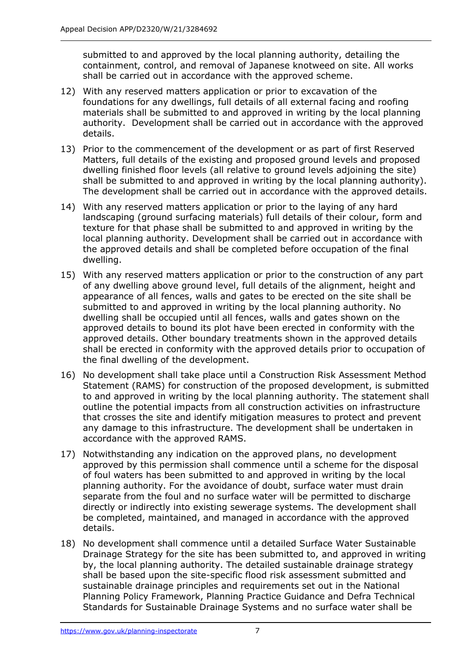submitted to and approved by the local planning authority, detailing the containment, control, and removal of Japanese knotweed on site. All works shall be carried out in accordance with the approved scheme.

- 12) With any reserved matters application or prior to excavation of the foundations for any dwellings, full details of all external facing and roofing materials shall be submitted to and approved in writing by the local planning authority. Development shall be carried out in accordance with the approved details.
- 13) Prior to the commencement of the development or as part of first Reserved Matters, full details of the existing and proposed ground levels and proposed dwelling finished floor levels (all relative to ground levels adjoining the site) shall be submitted to and approved in writing by the local planning authority). The development shall be carried out in accordance with the approved details.
- 14) With any reserved matters application or prior to the laying of any hard landscaping (ground surfacing materials) full details of their colour, form and texture for that phase shall be submitted to and approved in writing by the local planning authority. Development shall be carried out in accordance with the approved details and shall be completed before occupation of the final dwelling.
- 15) With any reserved matters application or prior to the construction of any part of any dwelling above ground level, full details of the alignment, height and appearance of all fences, walls and gates to be erected on the site shall be submitted to and approved in writing by the local planning authority. No dwelling shall be occupied until all fences, walls and gates shown on the approved details to bound its plot have been erected in conformity with the approved details. Other boundary treatments shown in the approved details shall be erected in conformity with the approved details prior to occupation of the final dwelling of the development.
- 16) No development shall take place until a Construction Risk Assessment Method Statement (RAMS) for construction of the proposed development, is submitted to and approved in writing by the local planning authority. The statement shall outline the potential impacts from all construction activities on infrastructure that crosses the site and identify mitigation measures to protect and prevent any damage to this infrastructure. The development shall be undertaken in accordance with the approved RAMS.
- 17) Notwithstanding any indication on the approved plans, no development approved by this permission shall commence until a scheme for the disposal of foul waters has been submitted to and approved in writing by the local planning authority. For the avoidance of doubt, surface water must drain separate from the foul and no surface water will be permitted to discharge directly or indirectly into existing sewerage systems. The development shall be completed, maintained, and managed in accordance with the approved details.
- 18) No development shall commence until a detailed Surface Water Sustainable Drainage Strategy for the site has been submitted to, and approved in writing by, the local planning authority. The detailed sustainable drainage strategy shall be based upon the site-specific flood risk assessment submitted and sustainable drainage principles and requirements set out in the National Planning Policy Framework, Planning Practice Guidance and Defra Technical Standards for Sustainable Drainage Systems and no surface water shall be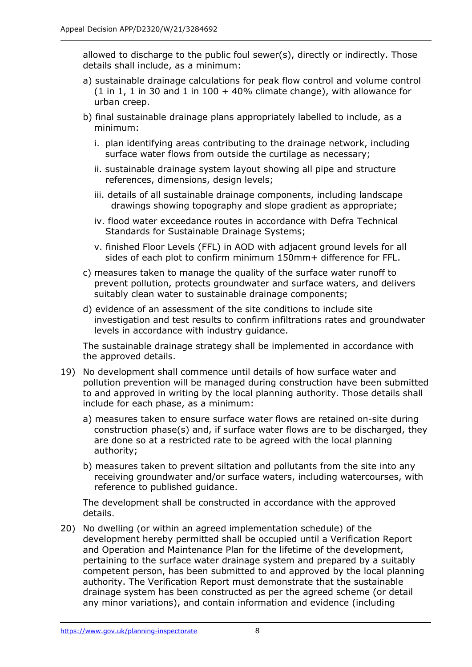allowed to discharge to the public foul sewer(s), directly or indirectly. Those details shall include, as a minimum:

- a) sustainable drainage calculations for peak flow control and volume control  $(1 \text{ in } 1, 1 \text{ in } 30 \text{ and } 1 \text{ in } 100 + 40\%$  climate change), with allowance for urban creep.
- b) final sustainable drainage plans appropriately labelled to include, as a minimum:
	- i. plan identifying areas contributing to the drainage network, including surface water flows from outside the curtilage as necessary;
	- ii. sustainable drainage system layout showing all pipe and structure references, dimensions, design levels;
	- iii. details of all sustainable drainage components, including landscape drawings showing topography and slope gradient as appropriate;
	- iv. flood water exceedance routes in accordance with Defra Technical Standards for Sustainable Drainage Systems;
	- v. finished Floor Levels (FFL) in AOD with adjacent ground levels for all sides of each plot to confirm minimum 150mm+ difference for FFL.
- c) measures taken to manage the quality of the surface water runoff to prevent pollution, protects groundwater and surface waters, and delivers suitably clean water to sustainable drainage components;
- d) evidence of an assessment of the site conditions to include site investigation and test results to confirm infiltrations rates and groundwater levels in accordance with industry guidance.

The sustainable drainage strategy shall be implemented in accordance with the approved details.

- 19) No development shall commence until details of how surface water and pollution prevention will be managed during construction have been submitted to and approved in writing by the local planning authority. Those details shall include for each phase, as a minimum:
	- a) measures taken to ensure surface water flows are retained on-site during construction phase(s) and, if surface water flows are to be discharged, they are done so at a restricted rate to be agreed with the local planning authority;
	- b) measures taken to prevent siltation and pollutants from the site into any receiving groundwater and/or surface waters, including watercourses, with reference to published guidance.

The development shall be constructed in accordance with the approved details.

20) No dwelling (or within an agreed implementation schedule) of the development hereby permitted shall be occupied until a Verification Report and Operation and Maintenance Plan for the lifetime of the development, pertaining to the surface water drainage system and prepared by a suitably competent person, has been submitted to and approved by the local planning authority. The Verification Report must demonstrate that the sustainable drainage system has been constructed as per the agreed scheme (or detail any minor variations), and contain information and evidence (including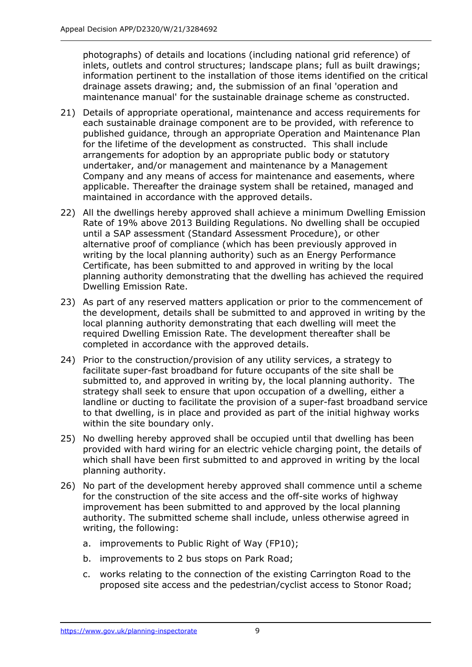photographs) of details and locations (including national grid reference) of inlets, outlets and control structures; landscape plans; full as built drawings; information pertinent to the installation of those items identified on the critical drainage assets drawing; and, the submission of an final 'operation and maintenance manual' for the sustainable drainage scheme as constructed.

- 21) Details of appropriate operational, maintenance and access requirements for each sustainable drainage component are to be provided, with reference to published guidance, through an appropriate Operation and Maintenance Plan for the lifetime of the development as constructed. This shall include arrangements for adoption by an appropriate public body or statutory undertaker, and/or management and maintenance by a Management Company and any means of access for maintenance and easements, where applicable. Thereafter the drainage system shall be retained, managed and maintained in accordance with the approved details.
- 22) All the dwellings hereby approved shall achieve a minimum Dwelling Emission Rate of 19% above 2013 Building Regulations. No dwelling shall be occupied until a SAP assessment (Standard Assessment Procedure), or other alternative proof of compliance (which has been previously approved in writing by the local planning authority) such as an Energy Performance Certificate, has been submitted to and approved in writing by the local planning authority demonstrating that the dwelling has achieved the required Dwelling Emission Rate.
- 23) As part of any reserved matters application or prior to the commencement of the development, details shall be submitted to and approved in writing by the local planning authority demonstrating that each dwelling will meet the required Dwelling Emission Rate. The development thereafter shall be completed in accordance with the approved details.
- 24) Prior to the construction/provision of any utility services, a strategy to facilitate super-fast broadband for future occupants of the site shall be submitted to, and approved in writing by, the local planning authority. The strategy shall seek to ensure that upon occupation of a dwelling, either a landline or ducting to facilitate the provision of a super-fast broadband service to that dwelling, is in place and provided as part of the initial highway works within the site boundary only.
- 25) No dwelling hereby approved shall be occupied until that dwelling has been provided with hard wiring for an electric vehicle charging point, the details of which shall have been first submitted to and approved in writing by the local planning authority.
- 26) No part of the development hereby approved shall commence until a scheme for the construction of the site access and the off-site works of highway improvement has been submitted to and approved by the local planning authority. The submitted scheme shall include, unless otherwise agreed in writing, the following:
	- a. improvements to Public Right of Way (FP10);
	- b. improvements to 2 bus stops on Park Road;
	- c. works relating to the connection of the existing Carrington Road to the proposed site access and the pedestrian/cyclist access to Stonor Road;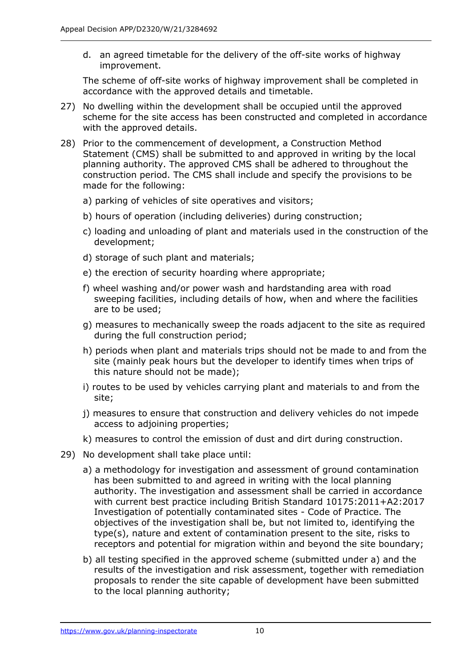d. an agreed timetable for the delivery of the off-site works of highway improvement.

The scheme of off-site works of highway improvement shall be completed in accordance with the approved details and timetable.

- 27) No dwelling within the development shall be occupied until the approved scheme for the site access has been constructed and completed in accordance with the approved details.
- 28) Prior to the commencement of development, a Construction Method Statement (CMS) shall be submitted to and approved in writing by the local planning authority. The approved CMS shall be adhered to throughout the construction period. The CMS shall include and specify the provisions to be made for the following:
	- a) parking of vehicles of site operatives and visitors;
	- b) hours of operation (including deliveries) during construction;
	- c) loading and unloading of plant and materials used in the construction of the development;
	- d) storage of such plant and materials;
	- e) the erection of security hoarding where appropriate;
	- f) wheel washing and/or power wash and hardstanding area with road sweeping facilities, including details of how, when and where the facilities are to be used;
	- g) measures to mechanically sweep the roads adjacent to the site as required during the full construction period;
	- h) periods when plant and materials trips should not be made to and from the site (mainly peak hours but the developer to identify times when trips of this nature should not be made);
	- i) routes to be used by vehicles carrying plant and materials to and from the site;
	- j) measures to ensure that construction and delivery vehicles do not impede access to adjoining properties;
	- k) measures to control the emission of dust and dirt during construction.
- 29) No development shall take place until:
	- a) a methodology for investigation and assessment of ground contamination has been submitted to and agreed in writing with the local planning authority. The investigation and assessment shall be carried in accordance with current best practice including British Standard 10175:2011+A2:2017 Investigation of potentially contaminated sites - Code of Practice. The objectives of the investigation shall be, but not limited to, identifying the type(s), nature and extent of contamination present to the site, risks to receptors and potential for migration within and beyond the site boundary;
	- b) all testing specified in the approved scheme (submitted under a) and the results of the investigation and risk assessment, together with remediation proposals to render the site capable of development have been submitted to the local planning authority;